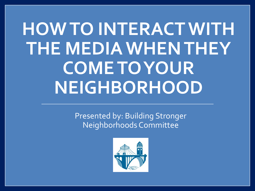# **HOW TO INTERACT WITH THE MEDIA WHEN THEY COME TO YOUR NEIGHBORHOOD**

Presented by: Building Stronger Neighborhoods Committee

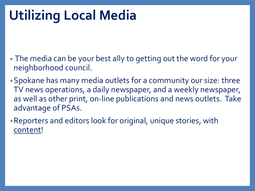## **Utilizing Local Media**

- The media can be your best ally to getting out the word for your neighborhood council.
- •Spokane has many media outlets for a community our size: three TV news operations, a daily newspaper, and a weekly newspaper, as well as other print, on-line publications and news outlets. Take advantage of PSAs.
- •Reporters and editors look for original, unique stories, with content!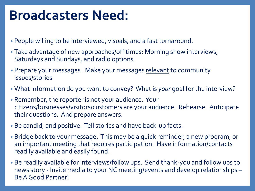### **Broadcasters Need:**

- People willing to be interviewed, visuals, and a fast turnaround.
- Take advantage of new approaches/off times: Morning show interviews, Saturdays and Sundays, and radio options.
- Prepare your messages. Make your messages relevant to community issues/stories
- What information do you want to convey? What is *your* goal for the interview?
- Remember, the reporter is not your audience. Your citizens/businesses/visitors/customers are your audience. Rehearse. Anticipate their questions. And prepare answers.
- Be candid, and positive. Tell stories and have back-up facts.
- Bridge back to your message. This may be a quick reminder, a new program, or an important meeting that requires participation. Have information/contacts readily available and easily found.
- Be readily available for interviews/follow ups. Send thank-you and follow ups to news story - Invite media to your NC meeting/events and develop relationships – Be A Good Partner!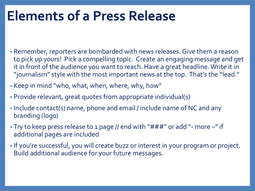### **Elements of a Press Release**

- Remember, reporters are bombarded with news releases. Give them a reason to pick up yours! Pick a compelling topic. Create an engaging message and get it in front of the audience you want to reach. Have a great headline. Write it in "journalism" style with the most important news at the top. That's the "lead."
- Keep in mind "who, what, when, where, why, how"
- Provide relevant, great quotes from appropriate individual(s)
- Include contact(s) name, phone and email / include name of NC and any branding (logo)
- Try to keep press release to 1 page // end with "###" or add "- more -" if additional pages are included
- If you're successful, you will create buzz or interest in your program or project. Build additional audience for your future messages.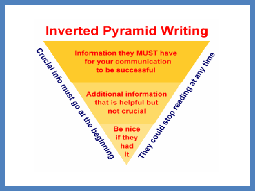### **Inverted Pyramid Writing**